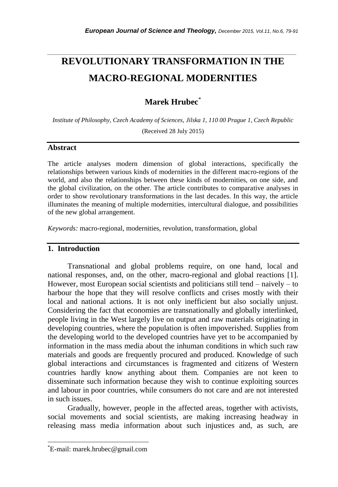# **REVOLUTIONARY TRANSFORMATION IN THE MACRO-REGIONAL MODERNITIES**

*\_\_\_\_\_\_\_\_\_\_\_\_\_\_\_\_\_\_\_\_\_\_\_\_\_\_\_\_\_\_\_\_\_\_\_\_\_\_\_\_\_\_\_\_\_\_\_\_\_\_\_\_\_\_\_\_\_\_\_\_\_\_\_\_\_\_\_\_\_\_\_*

# **Marek Hrubec**\*

*Institute of Philosophy, Czech Academy of Sciences, Jilska 1, 110 00 Prague 1, Czech Republic*

(Received 28 July 2015)

### **Abstract**

The article analyses modern dimension of global interactions, specifically the relationships between various kinds of modernities in the different macro-regions of the world, and also the relationships between these kinds of modernities, on one side, and the global civilization, on the other. The article contributes to comparative analyses in order to show revolutionary transformations in the last decades. In this way, the article illuminates the meaning of multiple modernities, intercultural dialogue, and possibilities of the new global arrangement.

*Keywords:* macro-regional, modernities, revolution, transformation, global

## **1. Introduction**

Transnational and global problems require, on one hand, local and national responses, and, on the other, macro-regional and global reactions [1]. However, most European social scientists and politicians still tend – naively – to harbour the hope that they will resolve conflicts and crises mostly with their local and national actions. It is not only inefficient but also socially unjust. Considering the fact that economies are transnationally and globally interlinked, people living in the West largely live on output and raw materials originating in developing countries, where the population is often impoverished. Supplies from the developing world to the developed countries have yet to be accompanied by information in the mass media about the inhuman conditions in which such raw materials and goods are frequently procured and produced. Knowledge of such global interactions and circumstances is fragmented and citizens of Western countries hardly know anything about them. Companies are not keen to disseminate such information because they wish to continue exploiting sources and labour in poor countries, while consumers do not care and are not interested in such issues.

Gradually, however, people in the affected areas, together with activists, social movements and social scientists, are making increasing headway in releasing mass media information about such injustices and, as such, are

l

<sup>\*</sup>E-mail: marek.hrubec@gmail.com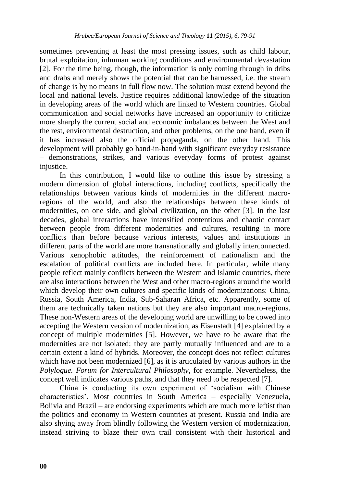sometimes preventing at least the most pressing issues, such as child labour, brutal exploitation, inhuman working conditions and environmental devastation [2]. For the time being, though, the information is only coming through in dribs and drabs and merely shows the potential that can be harnessed, i.e. the stream of change is by no means in full flow now. The solution must extend beyond the local and national levels. Justice requires additional knowledge of the situation in developing areas of the world which are linked to Western countries. Global communication and social networks have increased an opportunity to criticize more sharply the current social and economic imbalances between the West and the rest, environmental destruction, and other problems, on the one hand, even if it has increased also the official propaganda, on the other hand. This development will probably go hand-in-hand with significant everyday resistance – demonstrations, strikes, and various everyday forms of protest against injustice.

In this contribution, I would like to outline this issue by stressing a modern dimension of global interactions, including conflicts, specifically the relationships between various kinds of modernities in the different macroregions of the world, and also the relationships between these kinds of modernities, on one side, and global civilization, on the other [3]. In the last decades, global interactions have intensified contentious and chaotic contact between people from different modernities and cultures, resulting in more conflicts than before because various interests, values and institutions in different parts of the world are more transnationally and globally interconnected. Various xenophobic attitudes, the reinforcement of nationalism and the escalation of political conflicts are included here. In particular, while many people reflect mainly conflicts between the Western and Islamic countries, there are also interactions between the West and other macro-regions around the world which develop their own cultures and specific kinds of modernizations: China, Russia, South America, India, Sub-Saharan Africa, etc. Apparently, some of them are technically taken nations but they are also important macro-regions. These non-Western areas of the developing world are unwilling to be cowed into accepting the Western version of modernization, as Eisenstadt [4] explained by a concept of multiple modernities [5]. However, we have to be aware that the modernities are not isolated; they are partly mutually influenced and are to a certain extent a kind of hybrids. Moreover, the concept does not reflect cultures which have not been modernized [6], as it is articulated by various authors in the *Polylogue. Forum for Intercultural Philosophy*, for example. Nevertheless, the concept well indicates various paths, and that they need to be respected [7].

China is conducting its own experiment of "socialism with Chinese characteristics". Most countries in South America – especially Venezuela, Bolivia and Brazil – are endorsing experiments which are much more leftist than the politics and economy in Western countries at present. Russia and India are also shying away from blindly following the Western version of modernization, instead striving to blaze their own trail consistent with their historical and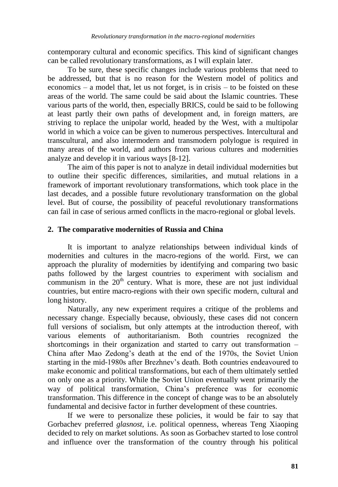contemporary cultural and economic specifics. This kind of significant changes can be called revolutionary transformations, as I will explain later.

To be sure, these specific changes include various problems that need to be addressed, but that is no reason for the Western model of politics and economics – a model that, let us not forget, is in crisis – to be foisted on these areas of the world. The same could be said about the Islamic countries. These various parts of the world, then, especially BRICS, could be said to be following at least partly their own paths of development and, in foreign matters, are striving to replace the unipolar world, headed by the West, with a multipolar world in which a voice can be given to numerous perspectives. Intercultural and transcultural, and also intermodern and transmodern polylogue is required in many areas of the world, and authors from various cultures and modernities analyze and develop it in various ways [8-12].

The aim of this paper is not to analyze in detail individual modernities but to outline their specific differences, similarities, and mutual relations in a framework of important revolutionary transformations, which took place in the last decades, and a possible future revolutionary transformation on the global level. But of course, the possibility of peaceful revolutionary transformations can fail in case of serious armed conflicts in the macro-regional or global levels.

## **2. The comparative modernities of Russia and China**

It is important to analyze relationships between individual kinds of modernities and cultures in the macro-regions of the world. First, we can approach the plurality of modernities by identifying and comparing two basic paths followed by the largest countries to experiment with socialism and communism in the  $20<sup>th</sup>$  century. What is more, these are not just individual countries, but entire macro-regions with their own specific modern, cultural and long history.

Naturally, any new experiment requires a critique of the problems and necessary change. Especially because, obviously, these cases did not concern full versions of socialism, but only attempts at the introduction thereof, with various elements of authoritarianism. Both countries recognized the shortcomings in their organization and started to carry out transformation – China after Mao Zedong"s death at the end of the 1970s, the Soviet Union starting in the mid-1980s after Brezhnev"s death. Both countries endeavoured to make economic and political transformations, but each of them ultimately settled on only one as a priority. While the Soviet Union eventually went primarily the way of political transformation, China"s preference was for economic transformation. This difference in the concept of change was to be an absolutely fundamental and decisive factor in further development of these countries.

If we were to personalize these policies, it would be fair to say that Gorbachev preferred *glasnost*, i.e. political openness, whereas Teng Xiaoping decided to rely on market solutions. As soon as Gorbachev started to lose control and influence over the transformation of the country through his political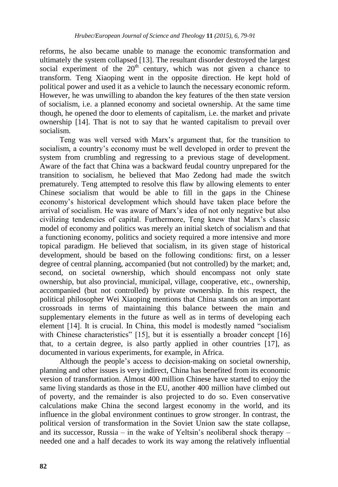reforms, he also became unable to manage the economic transformation and ultimately the system collapsed [13]. The resultant disorder destroyed the largest social experiment of the  $20<sup>th</sup>$  century, which was not given a chance to transform. Teng Xiaoping went in the opposite direction. He kept hold of political power and used it as a vehicle to launch the necessary economic reform. However, he was unwilling to abandon the key features of the then state version of socialism, i.e. a planned economy and societal ownership. At the same time though, he opened the door to elements of capitalism, i.e. the market and private ownership [14]. That is not to say that he wanted capitalism to prevail over socialism.

Teng was well versed with Marx"s argument that, for the transition to socialism, a country's economy must be well developed in order to prevent the system from crumbling and regressing to a previous stage of development. Aware of the fact that China was a backward feudal country unprepared for the transition to socialism, he believed that Mao Zedong had made the switch prematurely. Teng attempted to resolve this flaw by allowing elements to enter Chinese socialism that would be able to fill in the gaps in the Chinese economy"s historical development which should have taken place before the arrival of socialism. He was aware of Marx"s idea of not only negative but also civilizing tendencies of capital. Furthermore, Teng knew that Marx"s classic model of economy and politics was merely an initial sketch of socialism and that a functioning economy, politics and society required a more intensive and more topical paradigm. He believed that socialism, in its given stage of historical development, should be based on the following conditions: first, on a lesser degree of central planning, accompanied (but not controlled) by the market; and, second, on societal ownership, which should encompass not only state ownership, but also provincial, municipal, village, cooperative, etc., ownership, accompanied (but not controlled) by private ownership. In this respect, the political philosopher Wei Xiaoping mentions that China stands on an important crossroads in terms of maintaining this balance between the main and supplementary elements in the future as well as in terms of developing each element [14]. It is crucial. In China, this model is modestly named "socialism with Chinese characteristics" [15], but it is essentially a broader concept [16] that, to a certain degree, is also partly applied in other countries [17], as documented in various experiments, for example, in Africa.

Although the people's access to decision-making on societal ownership, planning and other issues is very indirect, China has benefited from its economic version of transformation. Almost 400 million Chinese have started to enjoy the same living standards as those in the EU, another 400 million have climbed out of poverty, and the remainder is also projected to do so. Even conservative calculations make China the second largest economy in the world, and its influence in the global environment continues to grow stronger. In contrast, the political version of transformation in the Soviet Union saw the state collapse, and its successor, Russia – in the wake of Yeltsin"s neoliberal shock therapy – needed one and a half decades to work its way among the relatively influential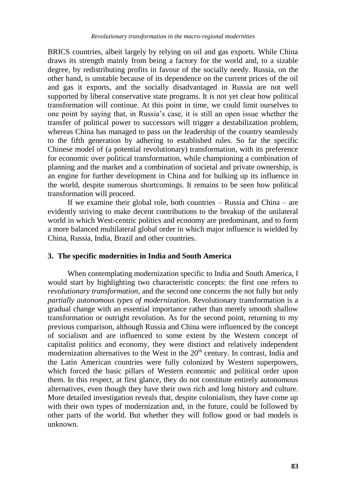BRICS countries, albeit largely by relying on oil and gas exports. While China draws its strength mainly from being a factory for the world and, to a sizable degree, by redistributing profits in favour of the socially needy. Russia, on the other hand, is unstable because of its dependence on the current prices of the oil and gas it exports, and the socially disadvantaged in Russia are not well supported by liberal conservative state programs. It is not yet clear how political transformation will continue. At this point in time, we could limit ourselves to one point by saying that, in Russia"s case, it is still an open issue whether the transfer of political power to successors will trigger a destabilization problem, whereas China has managed to pass on the leadership of the country seamlessly to the fifth generation by adhering to established rules. So far the specific Chinese model of (a potential revolutionary) transformation, with its preference for economic over political transformation, while championing a combination of planning and the market and a combination of societal and private ownership, is an engine for further development in China and for bulking up its influence in the world, despite numerous shortcomings. It remains to be seen how political transformation will proceed.

If we examine their global role, both countries – Russia and China – are evidently striving to make decent contributions to the breakup of the unilateral world in which West-centric politics and economy are predominant, and to form a more balanced multilateral global order in which major influence is wielded by China, Russia, India, Brazil and other countries.

### **3. The specific modernities in India and South America**

When contemplating modernization specific to India and South America, I would start by highlighting two characteristic concepts: the first one refers to *revolutionary transformation*, and the second one concerns the not fully but only *partially autonomous types of modernization*. Revolutionary transformation is a gradual change with an essential importance rather than merely smooth shallow transformation or outright revolution. As for the second point, returning to my previous comparison, although Russia and China were influenced by the concept of socialism and are influenced to some extent by the Western concept of capitalist politics and economy, they were distinct and relatively independent modernization alternatives to the West in the  $20<sup>th</sup>$  century. In contrast, India and the Latin American countries were fully colonized by Western superpowers, which forced the basic pillars of Western economic and political order upon them. In this respect, at first glance, they do not constitute entirely autonomous alternatives, even though they have their own rich and long history and culture. More detailed investigation reveals that, despite colonialism, they have come up with their own types of modernization and, in the future, could be followed by other parts of the world. But whether they will follow good or bad models is unknown.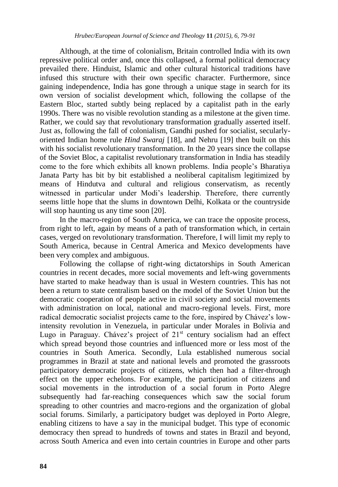Although, at the time of colonialism, Britain controlled India with its own repressive political order and, once this collapsed, a formal political democracy prevailed there. Hinduist, Islamic and other cultural historical traditions have infused this structure with their own specific character. Furthermore, since gaining independence, India has gone through a unique stage in search for its own version of socialist development which, following the collapse of the Eastern Bloc, started subtly being replaced by a capitalist path in the early 1990s. There was no visible revolution standing as a milestone at the given time. Rather, we could say that revolutionary transformation gradually asserted itself. Just as, following the fall of colonialism, Gandhi pushed for socialist, secularlyoriented Indian home rule *Hind Swaraj* [18], and Nehru [19] then built on this with his socialist revolutionary transformation. In the 20 years since the collapse of the Soviet Bloc, a capitalist revolutionary transformation in India has steadily come to the fore which exhibits all known problems. India people"s Bharatiya Janata Party has bit by bit established a neoliberal capitalism legitimized by means of Hindutva and cultural and religious conservatism, as recently witnessed in particular under Modi"s leadership. Therefore, there currently seems little hope that the slums in downtown Delhi, Kolkata or the countryside will stop haunting us any time soon [20].

In the macro-region of South America, we can trace the opposite process, from right to left, again by means of a path of transformation which, in certain cases, verged on revolutionary transformation. Therefore, I will limit my reply to South America, because in Central America and Mexico developments have been very complex and ambiguous.

Following the collapse of right-wing dictatorships in South American countries in recent decades, more social movements and left-wing governments have started to make headway than is usual in Western countries. This has not been a return to state centralism based on the model of the Soviet Union but the democratic cooperation of people active in civil society and social movements with administration on local, national and macro-regional levels. First, more radical democratic socialist projects came to the fore, inspired by Chávez"s lowintensity revolution in Venezuela, in particular under Morales in Bolivia and Lugo in Paraguay. Chávez's project of  $21<sup>st</sup>$  century socialism had an effect which spread beyond those countries and influenced more or less most of the countries in South America. Secondly, Lula established numerous social programmes in Brazil at state and national levels and promoted the grassroots participatory democratic projects of citizens, which then had a filter-through effect on the upper echelons. For example, the participation of citizens and social movements in the introduction of a social forum in Porto Alegre subsequently had far-reaching consequences which saw the social forum spreading to other countries and macro-regions and the organization of global social forums. Similarly, a participatory budget was deployed in Porto Alegre, enabling citizens to have a say in the municipal budget. This type of economic democracy then spread to hundreds of towns and states in Brazil and beyond, across South America and even into certain countries in Europe and other parts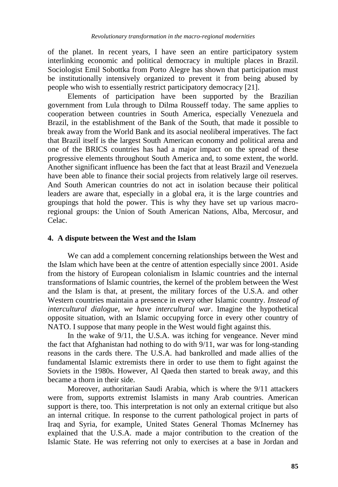of the planet. In recent years, I have seen an entire participatory system interlinking economic and political democracy in multiple places in Brazil. Sociologist Emil Sobottka from Porto Alegre has shown that participation must be institutionally intensively organized to prevent it from being abused by people who wish to essentially restrict participatory democracy [21].

Elements of participation have been supported by the Brazilian government from Lula through to Dilma Rousseff today. The same applies to cooperation between countries in South America, especially Venezuela and Brazil, in the establishment of the Bank of the South, that made it possible to break away from the World Bank and its asocial neoliberal imperatives. The fact that Brazil itself is the largest South American economy and political arena and one of the BRICS countries has had a major impact on the spread of these progressive elements throughout South America and, to some extent, the world. Another significant influence has been the fact that at least Brazil and Venezuela have been able to finance their social projects from relatively large oil reserves. And South American countries do not act in isolation because their political leaders are aware that, especially in a global era, it is the large countries and groupings that hold the power. This is why they have set up various macroregional groups: the Union of South American Nations, Alba, Mercosur, and Celac.

#### **4. A dispute between the West and the Islam**

We can add a complement concerning relationships between the West and the Islam which have been at the centre of attention especially since 2001. Aside from the history of European colonialism in Islamic countries and the internal transformations of Islamic countries, the kernel of the problem between the West and the Islam is that, at present, the military forces of the U.S.A. and other Western countries maintain a presence in every other Islamic country. *Instead of intercultural dialogue, we have intercultural war*. Imagine the hypothetical opposite situation, with an Islamic occupying force in every other country of NATO. I suppose that many people in the West would fight against this.

In the wake of 9/11, the U.S.A. was itching for vengeance. Never mind the fact that Afghanistan had nothing to do with 9/11, war was for long-standing reasons in the cards there. The U.S.A. had bankrolled and made allies of the fundamental Islamic extremists there in order to use them to fight against the Soviets in the 1980s. However, Al Qaeda then started to break away, and this became a thorn in their side.

Moreover, authoritarian Saudi Arabia, which is where the 9/11 attackers were from, supports extremist Islamists in many Arab countries. American support is there, too. This interpretation is not only an external critique but also an internal critique. In response to the current pathological project in parts of Iraq and Syria, for example, United States General Thomas McInerney has explained that the U.S.A. made a major contribution to the creation of the Islamic State. He was referring not only to exercises at a base in Jordan and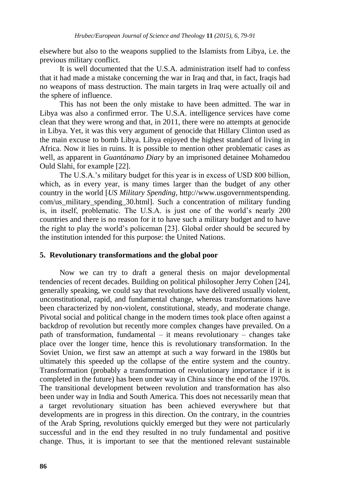elsewhere but also to the weapons supplied to the Islamists from Libya, i.e. the previous military conflict.

It is well documented that the U.S.A. administration itself had to confess that it had made a mistake concerning the war in Iraq and that, in fact, Iraqis had no weapons of mass destruction. The main targets in Iraq were actually oil and the sphere of influence.

This has not been the only mistake to have been admitted. The war in Libya was also a confirmed error. The U.S.A. intelligence services have come clean that they were wrong and that, in 2011, there were no attempts at genocide in Libya. Yet, it was this very argument of genocide that Hillary Clinton used as the main excuse to bomb Libya. Libya enjoyed the highest standard of living in Africa. Now it lies in ruins. It is possible to mention other problematic cases as well, as apparent in *Guantánamo Diary* by an imprisoned detainee Mohamedou Ould Slahi, for example [22].

The U.S.A."s military budget for this year is in excess of USD 800 billion, which, as in every year, is many times larger than the budget of any other country in the world [*US Military Spending*, http://www.usgovernmentspending. com/us military spending 30.html]. Such a concentration of military funding is, in itself, problematic. The U.S.A. is just one of the world"s nearly 200 countries and there is no reason for it to have such a military budget and to have the right to play the world"s policeman [23]. Global order should be secured by the institution intended for this purpose: the United Nations.

#### **5. Revolutionary transformations and the global poor**

Now we can try to draft a general thesis on major developmental tendencies of recent decades. Building on political philosopher Jerry Cohen [24], generally speaking, we could say that revolutions have delivered usually violent, unconstitutional, rapid, and fundamental change, whereas transformations have been characterized by non-violent, constitutional, steady, and moderate change. Pivotal social and political change in the modern times took place often against a backdrop of revolution but recently more complex changes have prevailed. On a path of transformation, fundamental – it means revolutionary – changes take place over the longer time, hence this is revolutionary transformation. In the Soviet Union, we first saw an attempt at such a way forward in the 1980s but ultimately this speeded up the collapse of the entire system and the country. Transformation (probably a transformation of revolutionary importance if it is completed in the future) has been under way in China since the end of the 1970s. The transitional development between revolution and transformation has also been under way in India and South America. This does not necessarily mean that a target revolutionary situation has been achieved everywhere but that developments are in progress in this direction. On the contrary, in the countries of the Arab Spring, revolutions quickly emerged but they were not particularly successful and in the end they resulted in no truly fundamental and positive change. Thus, it is important to see that the mentioned relevant sustainable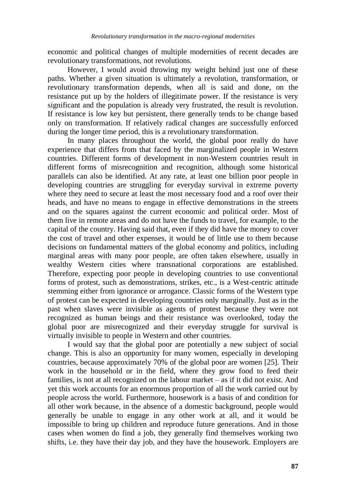economic and political changes of multiple modernities of recent decades are revolutionary transformations, not revolutions.

However, I would avoid throwing my weight behind just one of these paths. Whether a given situation is ultimately a revolution, transformation, or revolutionary transformation depends, when all is said and done, on the resistance put up by the holders of illegitimate power. If the resistance is very significant and the population is already very frustrated, the result is revolution. If resistance is low key but persistent, there generally tends to be change based only on transformation. If relatively radical changes are successfully enforced during the longer time period, this is a revolutionary transformation.

In many places throughout the world, the global poor really do have experience that differs from that faced by the marginalized people in Western countries. Different forms of development in non-Western countries result in different forms of misrecognition and recognition, although some historical parallels can also be identified. At any rate, at least one billion poor people in developing countries are struggling for everyday survival in extreme poverty where they need to secure at least the most necessary food and a roof over their heads, and have no means to engage in effective demonstrations in the streets and on the squares against the current economic and political order. Most of them live in remote areas and do not have the funds to travel, for example, to the capital of the country. Having said that, even if they did have the money to cover the cost of travel and other expenses, it would be of little use to them because decisions on fundamental matters of the global economy and politics, including marginal areas with many poor people, are often taken elsewhere, usually in wealthy Western cities where transnational corporations are established. Therefore, expecting poor people in developing countries to use conventional forms of protest, such as demonstrations, strikes, etc., is a West-centric attitude stemming either from ignorance or arrogance. Classic forms of the Western type of protest can be expected in developing countries only marginally. Just as in the past when slaves were invisible as agents of protest because they were not recognized as human beings and their resistance was overlooked, today the global poor are misrecognized and their everyday struggle for survival is virtually invisible to people in Western and other countries.

I would say that the global poor are potentially a new subject of social change. This is also an opportunity for many women, especially in developing countries, because approximately 70% of the global poor are women [25]. Their work in the household or in the field, where they grow food to feed their families, is not at all recognized on the labour market – as if it did not exist. And yet this work accounts for an enormous proportion of all the work carried out by people across the world. Furthermore, housework is a basis of and condition for all other work because, in the absence of a domestic background, people would generally be unable to engage in any other work at all, and it would be impossible to bring up children and reproduce future generations. And in those cases when women do find a job, they generally find themselves working two shifts, i.e. they have their day job, and they have the housework. Employers are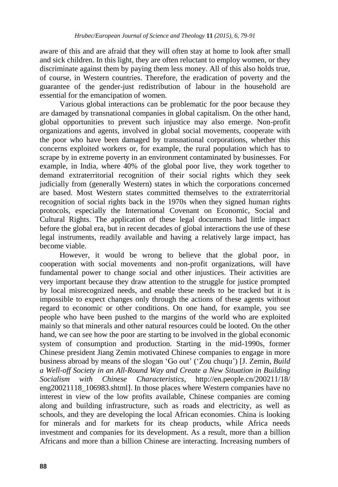aware of this and are afraid that they will often stay at home to look after small and sick children. In this light, they are often reluctant to employ women, or they discriminate against them by paying them less money. All of this also holds true, of course, in Western countries. Therefore, the eradication of poverty and the guarantee of the gender-just redistribution of labour in the household are essential for the emancipation of women.

Various global interactions can be problematic for the poor because they are damaged by transnational companies in global capitalism. On the other hand, global opportunities to prevent such injustice may also emerge. Non-profit organizations and agents, involved in global social movements, cooperate with the poor who have been damaged by transnational corporations, whether this concerns exploited workers or, for example, the rural population which has to scrape by in extreme poverty in an environment contaminated by businesses. For example, in India, where 40% of the global poor live, they work together to demand extraterritorial recognition of their social rights which they seek judicially from (generally Western) states in which the corporations concerned are based. Most Western states committed themselves to the extraterritorial recognition of social rights back in the 1970s when they signed human rights protocols, especially the International Covenant on Economic, Social and Cultural Rights. The application of these legal documents had little impact before the global era, but in recent decades of global interactions the use of these legal instruments, readily available and having a relatively large impact, has become viable.

However, it would be wrong to believe that the global poor, in cooperation with social movements and non-profit organizations, will have fundamental power to change social and other injustices. Their activities are very important because they draw attention to the struggle for justice prompted by local misrecognized needs, and enable these needs to be tracked but it is impossible to expect changes only through the actions of these agents without regard to economic or other conditions. On one hand, for example, you see people who have been pushed to the margins of the world who are exploited mainly so that minerals and other natural resources could be looted. On the other hand, we can see how the poor are starting to be involved in the global economic system of consumption and production. Starting in the mid-1990s, former Chinese president Jiang Zemin motivated Chinese companies to engage in more business abroad by means of the slogan "Go out" ("Zou chuqu") [J. Zemin, *Build a Well-off Society in an All-Round Way and Create a New Situation in Building Socialism with Chinese Characteristics*, http://en.people.cn/200211/18/ eng20021118 106983.shtml]. In those places where Western companies have no interest in view of the low profits available, Chinese companies are coming along and building infrastructure, such as roads and electricity, as well as schools, and they are developing the local African economies. China is looking for minerals and for markets for its cheap products, while Africa needs investment and companies for its development. As a result, more than a billion Africans and more than a billion Chinese are interacting. Increasing numbers of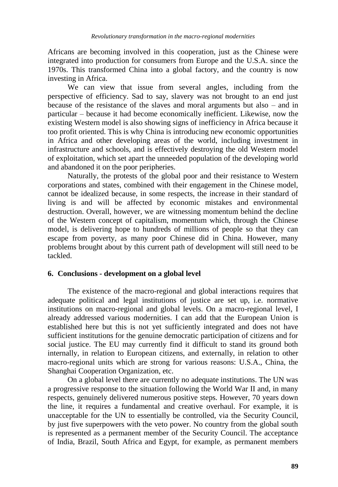Africans are becoming involved in this cooperation, just as the Chinese were integrated into production for consumers from Europe and the U.S.A. since the 1970s. This transformed China into a global factory, and the country is now investing in Africa.

We can view that issue from several angles, including from the perspective of efficiency. Sad to say, slavery was not brought to an end just because of the resistance of the slaves and moral arguments but also – and in particular – because it had become economically inefficient. Likewise, now the existing Western model is also showing signs of inefficiency in Africa because it too profit oriented. This is why China is introducing new economic opportunities in Africa and other developing areas of the world, including investment in infrastructure and schools, and is effectively destroying the old Western model of exploitation, which set apart the unneeded population of the developing world and abandoned it on the poor peripheries.

Naturally, the protests of the global poor and their resistance to Western corporations and states, combined with their engagement in the Chinese model, cannot be idealized because, in some respects, the increase in their standard of living is and will be affected by economic mistakes and environmental destruction. Overall, however, we are witnessing momentum behind the decline of the Western concept of capitalism, momentum which, through the Chinese model, is delivering hope to hundreds of millions of people so that they can escape from poverty, as many poor Chinese did in China. However, many problems brought about by this current path of development will still need to be tackled.

## **6. Conclusions - development on a global level**

The existence of the macro-regional and global interactions requires that adequate political and legal institutions of justice are set up, i.e. normative institutions on macro-regional and global levels. On a macro-regional level, I already addressed various modernities. I can add that the European Union is established here but this is not yet sufficiently integrated and does not have sufficient institutions for the genuine democratic participation of citizens and for social justice. The EU may currently find it difficult to stand its ground both internally, in relation to European citizens, and externally, in relation to other macro-regional units which are strong for various reasons: U.S.A., China, the Shanghai Cooperation Organization, etc.

On a global level there are currently no adequate institutions. The UN was a progressive response to the situation following the World War II and, in many respects, genuinely delivered numerous positive steps. However, 70 years down the line, it requires a fundamental and creative overhaul. For example, it is unacceptable for the UN to essentially be controlled, via the Security Council, by just five superpowers with the veto power. No country from the global south is represented as a permanent member of the Security Council. The acceptance of India, Brazil, South Africa and Egypt, for example, as permanent members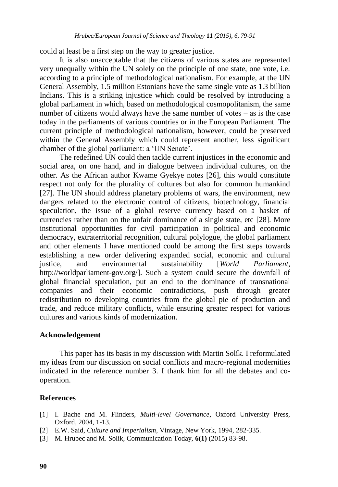could at least be a first step on the way to greater justice.

It is also unacceptable that the citizens of various states are represented very unequally within the UN solely on the principle of one state, one vote, i.e. according to a principle of methodological nationalism. For example, at the UN General Assembly, 1.5 million Estonians have the same single vote as 1.3 billion Indians. This is a striking injustice which could be resolved by introducing a global parliament in which, based on methodological cosmopolitanism, the same number of citizens would always have the same number of votes – as is the case today in the parliaments of various countries or in the European Parliament. The current principle of methodological nationalism, however, could be preserved within the General Assembly which could represent another, less significant chamber of the global parliament: a "UN Senate".

The redefined UN could then tackle current injustices in the economic and social area, on one hand, and in dialogue between individual cultures, on the other. As the African author Kwame Gyekye notes [26], this would constitute respect not only for the plurality of cultures but also for common humankind [27]. The UN should address planetary problems of wars, the environment, new dangers related to the electronic control of citizens, biotechnology, financial speculation, the issue of a global reserve currency based on a basket of currencies rather than on the unfair dominance of a single state, etc [28]. More institutional opportunities for civil participation in political and economic democracy, extraterritorial recognition, cultural polylogue, the global parliament and other elements I have mentioned could be among the first steps towards establishing a new order delivering expanded social, economic and cultural justice, and environmental sustainability [*World Parliament*, http://worldparliament-gov.org/]. Such a system could secure the downfall of global financial speculation, put an end to the dominance of transnational companies and their economic contradictions, push through greater redistribution to developing countries from the global pie of production and trade, and reduce military conflicts, while ensuring greater respect for various cultures and various kinds of modernization.

#### **Acknowledgement**

This paper has its basis in my discussion with Martin Solík. I reformulated my ideas from our discussion on social conflicts and macro-regional modernities indicated in the reference number 3. I thank him for all the debates and cooperation.

#### **References**

- [1] I. Bache and M. Flinders, *Multi-level Governance*, Oxford University Press, Oxford, 2004, 1-13.
- [2] E.W. Said, *Culture and Imperialism*, Vintage, New York, 1994, 282-335.
- [3] M. Hrubec and M. Solík, Communication Today, **6(1)** (2015) 83-98.